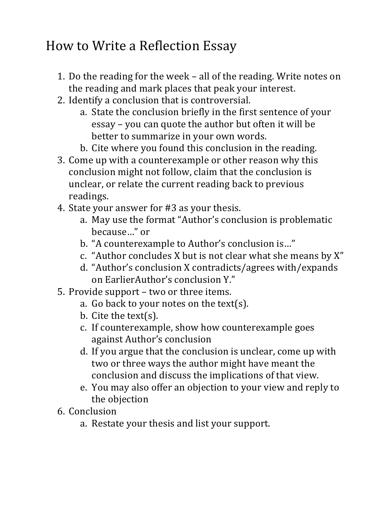## How to Write a Reflection Essay

- 1. Do the reading for the week all of the reading. Write notes on the reading and mark places that peak your interest.
- 2. Identify a conclusion that is controversial.
	- a. State the conclusion briefly in the first sentence of your essay – you can quote the author but often it will be better to summarize in your own words.
	- b. Cite where you found this conclusion in the reading.
- 3. Come up with a counterexample or other reason why this conclusion might not follow, claim that the conclusion is unclear, or relate the current reading back to previous readings.
- 4. State your answer for #3 as your thesis.
	- a. May use the format "Author's conclusion is problematic because..." or
	- b. "A counterexample to Author's conclusion is..."
	- c. "Author concludes X but is not clear what she means by X"
	- d. "Author's conclusion X contradicts/agrees with/expands on EarlierAuthor's conclusion Y."
- 5. Provide support two or three items.
	- a. Go back to your notes on the text(s).
	- b. Cite the text(s).
	- c. If counterexample, show how counterexample goes against Author's conclusion
	- d. If you argue that the conclusion is unclear, come up with two or three ways the author might have meant the conclusion and discuss the implications of that view.
	- e. You may also offer an objection to your view and reply to the objection
- 6. Conclusion
	- a. Restate your thesis and list your support.